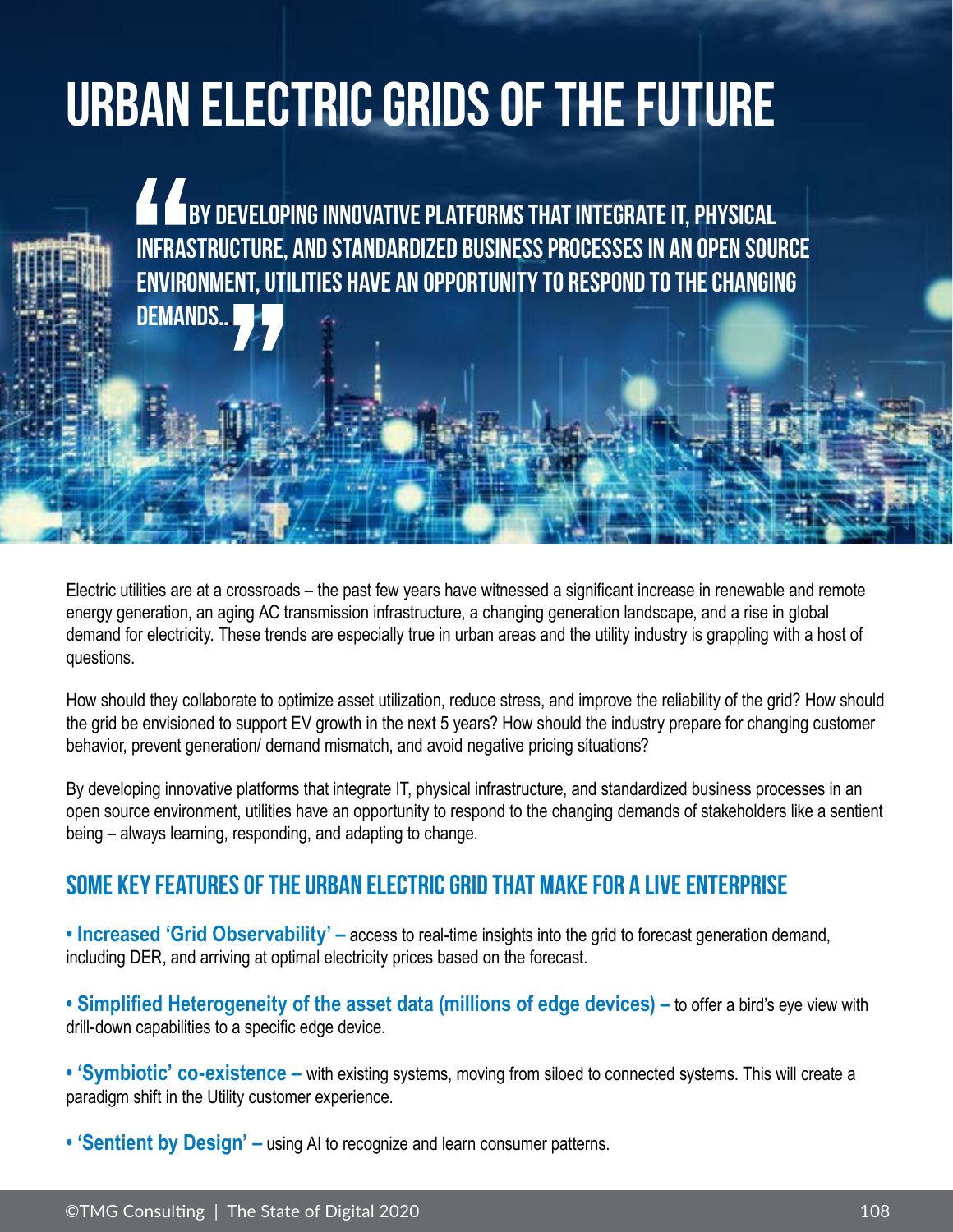## **Urban Electric Grids of the Future**

**by developing innovative platforms that integrate IT, physical by developing innovative platforms in a periodi infrastructure, and standardized business processes in an open source environment, utilities have an opportunity to respond to the changing demands...**

Electric utilities are at a crossroads – the past few years have witnessed a significant increase in renewable and remote energy generation, an aging AC transmission infrastructure, a changing generation landscape, and a rise in global demand for electricity. These trends are especially true in urban areas and the utility industry is grappling with a host of questions.

How should they collaborate to optimize asset utilization, reduce stress, and improve the reliability of the grid? How should the grid be envisioned to support EV growth in the next 5 years? How should the industry prepare for changing customer behavior, prevent generation/ demand mismatch, and avoid negative pricing situations?

By developing innovative platforms that integrate IT, physical infrastructure, and standardized business processes in an open source environment, utilities have an opportunity to respond to the changing demands of stakeholders like a sentient being – always learning, responding, and adapting to change.

## **Some key features of the Urban Electric Grid that make for a Live Enterprise**

**• Increased 'Grid Observability' –** access to real-time insights into the grid to forecast generation demand, including DER, and arriving at optimal electricity prices based on the forecast.

**• Simplified Heterogeneity of the asset data (millions of edge devices) –** to offer a bird's eye view with drill-down capabilities to a specific edge device.

- **'Symbiotic' co-existence** with existing systems, moving from siloed to connected systems. This will create a paradigm shift in the Utility customer experience.
- **'Sentient by Design' –** using AI to recognize and learn consumer patterns.